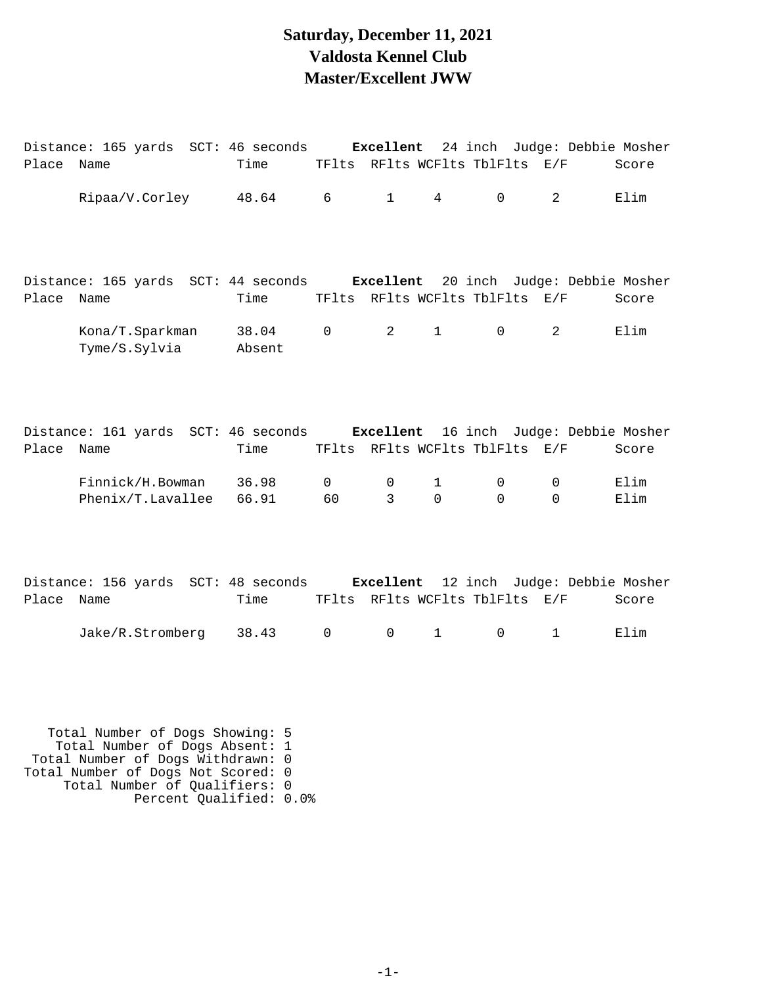#### **Saturday, December 11, 2021 Valdosta Kennel Club Master/Excellent JWW**

|       | Distance: 165 yards  SCT: 46 seconds                                               |                 |                    | Excellent    |                                |               | 24 inch Judge: Debbie Mosher |              |
|-------|------------------------------------------------------------------------------------|-----------------|--------------------|--------------|--------------------------------|---------------|------------------------------|--------------|
| Place | Name                                                                               | Time            |                    |              | TFlts RFlts WCFlts TblFlts E/F |               |                              | Score        |
|       | Ripaa/V.Corley                                                                     | 48.64           | 6                  | $\mathbf{1}$ | 4                              | $\mathbf 0$   | 2                            | Elim         |
| Place | Distance: 165 yards SCT: 44 seconds Excellent 20 inch Judge: Debbie Mosher<br>Name | Time            |                    |              | TFlts RFlts WCFlts TblFlts E/F |               |                              | Score        |
|       | Kona/T.Sparkman<br>Tyme/S.Sylvia                                                   | 38.04<br>Absent | $\mathsf{O}$       | 2            | $\mathbf{1}$                   | $\Omega$      | 2                            | Elim         |
| Place | Distance: 161 yards SCT: 46 seconds Excellent 16 inch Judge: Debbie Mosher<br>Name | Time            |                    |              | TFlts RFlts WCFlts TblFlts E/F |               |                              | Score        |
|       | Finnick/H.Bowman<br>Phenix/T.Lavallee                                              | 36.98<br>66.91  | $\mathsf{O}$<br>60 | 0<br>3       | $\mathbf{1}$<br>$\Omega$       | 0<br>$\Omega$ | 0<br>$\Omega$                | Elim<br>Elim |
| Place | Distance: 156 yards SCT: 48 seconds Excellent 12 inch Judge: Debbie Mosher<br>Name | Time            |                    |              | TFlts RFlts WCFlts TblFlts E/F |               |                              | Score        |
|       | Jake/R.Stromberg                                                                   | 38.43           | 0                  | $\mathsf 0$  | $\mathbf{1}$                   | 0             | $\mathbf 1$                  | Elim         |

 Total Number of Dogs Showing: 5 Total Number of Dogs Absent: 1 Total Number of Dogs Withdrawn: 0 Total Number of Dogs Not Scored: 0 Total Number of Qualifiers: 0 Percent Qualified: 0.0%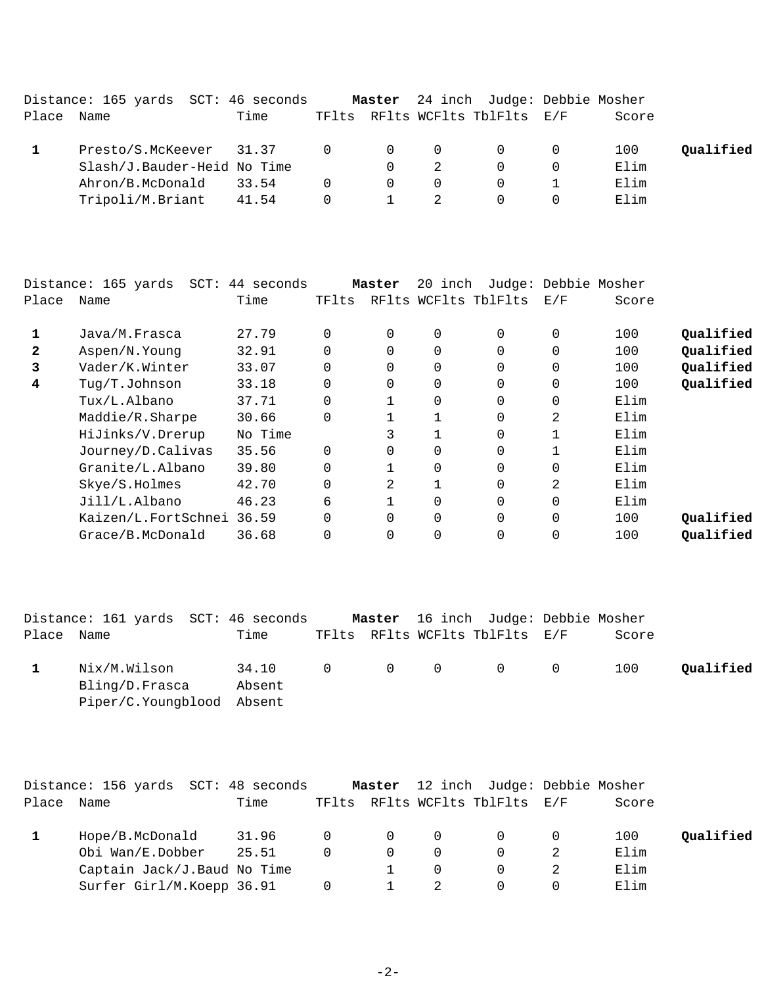|            | Distance: 165 yards SCT: 46 seconds |       |          |                |                | <b>Master</b> 24 inch Judge: Debbie Mosher |       |           |
|------------|-------------------------------------|-------|----------|----------------|----------------|--------------------------------------------|-------|-----------|
| Place Name |                                     | Time  |          |                |                | TFlts RFlts WCFlts TblFlts E/F             | Score |           |
|            | Presto/S.McKeever 31.37 0           |       |          | $\overline{0}$ | $\overline{0}$ | $\Omega$                                   | 100   | Qualified |
|            | Slash/J.Bauder-Heid No Time         |       |          | $\Omega$       |                |                                            | Elim  |           |
|            | Ahron/B.McDonald                    | 33.54 | $\Omega$ | $\overline{0}$ | 0              |                                            | Elim  |           |
|            | Tripoli/M.Briant                    | 41.54 | $\Omega$ |                |                |                                            | Elim  |           |

|              | Distance: 165 yards<br>$SCT$ : | 44 seconds |          | Master | 20 inch        |                      |                | Judge: Debbie Mosher |           |
|--------------|--------------------------------|------------|----------|--------|----------------|----------------------|----------------|----------------------|-----------|
| Place        | Name                           | Time       | TFlts    |        |                | RFlts WCFlts TblFlts | E/F            | Score                |           |
| 1            | Java/M.Frasca                  | 27.79      | $\Omega$ | 0      | $\overline{0}$ | $\Omega$             | 0              | 100                  | Qualified |
| $\mathbf{2}$ | Aspen/N.Young                  | 32.91      | $\Omega$ |        | $\Omega$       | $\Omega$             | $\Omega$       | 100                  | Qualified |
| 3            | Vader/K.Winter                 | 33.07      | $\Omega$ |        | 0              | $\Omega$             | $\Omega$       | 100                  | Qualified |
| 4            | Tuq/T.Johnson                  | 33.18      | $\Omega$ | 0      | $\mathbf 0$    | $\Omega$             | 0              | 100                  | Qualified |
|              | Tux/L.Albano                   | 37.71      | $\Omega$ |        | $\overline{0}$ | $\Omega$             | $\Omega$       | Elim                 |           |
|              | Maddie/R.Sharpe                | 30.66      | $\Omega$ |        |                | $\Omega$             | $\overline{2}$ | Elim                 |           |
|              | HiJinks/V.Drerup               | No Time    |          | 3      |                | $\Omega$             |                | Elim                 |           |
|              | Journey/D.Calivas              | 35.56      | $\Omega$ |        | $\Omega$       | $\Omega$             |                | Elim                 |           |
|              | Granite/L.Albano               | 39.80      | $\Omega$ |        | $\overline{0}$ | $\Omega$             | 0              | Elim                 |           |
|              | Skye/S.Holmes                  | 42.70      | 0        | 2      |                | $\Omega$             | $\overline{2}$ | Elim                 |           |
|              | Jill/L.Albano                  | 46.23      | 6        |        | $\Omega$       | $\Omega$             | $\Omega$       | Elim                 |           |
|              | Kaizen/L.FortSchnei 36.59      |            | $\Omega$ | 0      | $\overline{0}$ | $\Omega$             | 0              | 100                  | Qualified |
|              | Grace/B.McDonald               | 36.68      | $\Omega$ |        | $\overline{0}$ | $\Omega$             |                | 100                  | Qualified |
|              |                                |            |          |        |                |                      |                |                      |           |

|       | Distance: 161 yards SCT: 46 seconds                         |                 |  | <b>Master</b> 16 inch Judge: Debbie Mosher       |       |           |
|-------|-------------------------------------------------------------|-----------------|--|--------------------------------------------------|-------|-----------|
| Place | Name                                                        | Time            |  | TFlts RFlts WCFlts TblFlts E/F                   | Score |           |
|       | Nix/M.Wilson<br>Bling/D.Frasca<br>Piper/C.Youngblood Absent | 34.10<br>Absent |  | $0\qquad \qquad 0\qquad \qquad 0\qquad \qquad 0$ | 100   | Qualified |

|            | Distance: 156 yards SCT: 48 seconds |         |                | Master         |                | 12 inch Judge: Debbie Mosher   |     |       |           |
|------------|-------------------------------------|---------|----------------|----------------|----------------|--------------------------------|-----|-------|-----------|
| Place Name |                                     | Time    |                |                |                | TFlts RFlts WCFlts TblFlts E/F |     | Score |           |
|            | Hope/B.McDonald                     | 31.96 0 |                | $\overline{0}$ | $\overline{0}$ | $\Omega$ and $\Omega$          | - 0 | 100   | Qualified |
|            | Obi Wan/E.Dobber                    | 25.51   | $\Omega$       | $\Omega$       | $\Omega$       |                                |     | Elim  |           |
|            | Captain Jack/J. Baud No Time        |         |                |                | $\Omega$       |                                |     | Elim  |           |
|            | Surfer Girl/M.Koepp 36.91           |         | $\overline{0}$ |                |                |                                |     | Elim  |           |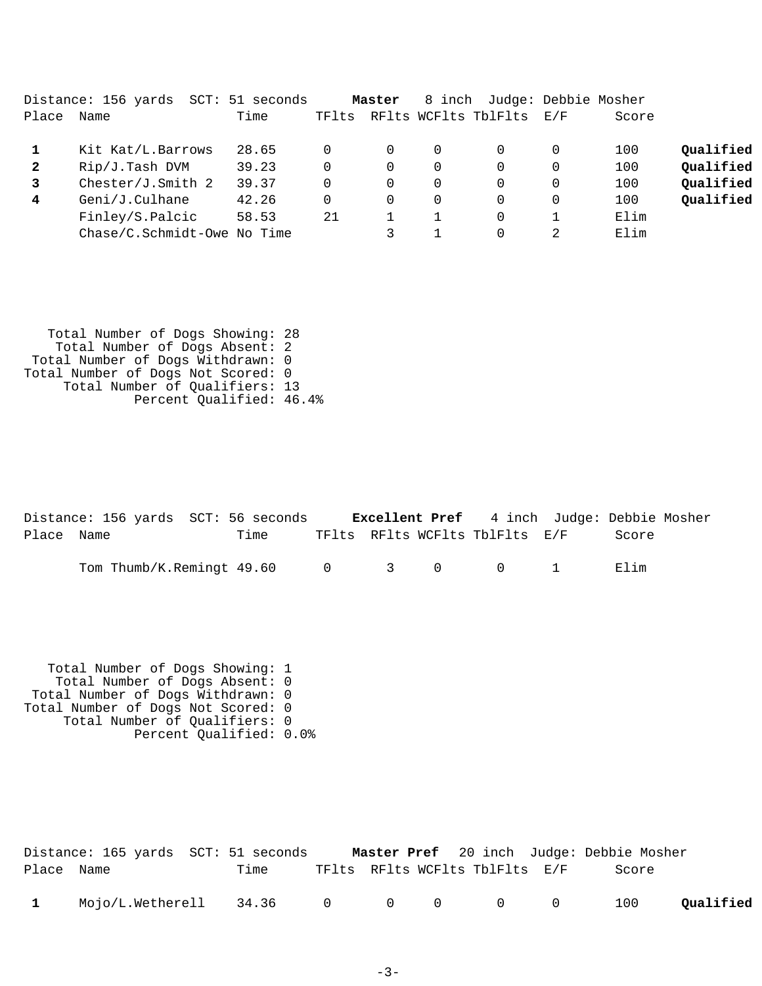|              | Distance: 156 yards         | SCT: 51 seconds |       | Master |   | 8 inch Judge: Debbie Mosher |          |       |           |
|--------------|-----------------------------|-----------------|-------|--------|---|-----------------------------|----------|-------|-----------|
| Place        | Name                        | Time            | TFlts |        |   | RFlts WCFlts TblFlts        | E/F      | Score |           |
|              | Kit Kat/L.Barrows           | 28.65           |       | 0      | 0 |                             | $\Omega$ | 100   | Qualified |
| $\mathbf{2}$ | Rip/J.Tash DVM              | 39.23           | 0     | 0      | 0 |                             | $\Omega$ | 100   | Qualified |
|              | Chester/J.Smith $2$         | 39.37           |       | 0      | 0 |                             | $\Omega$ | 100   | Qualified |
| 4            | Geni/J.Culhane              | 42.26           | 0     | 0      | 0 | $\Omega$                    | $\Omega$ | 100   | Qualified |
|              | Finley/S.Palcic             | 58.53           | 21    |        |   |                             |          | Elim  |           |
|              | Chase/C.Schmidt-Owe No Time |                 |       |        |   |                             | 2        | Elim  |           |

 Total Number of Dogs Showing: 28 Total Number of Dogs Absent: 2 Total Number of Dogs Withdrawn: 0 Total Number of Dogs Not Scored: 0 Total Number of Qualifiers: 13 Percent Qualified: 46.4%

|            | Distance: 156 yards SCT: 56 seconds |      |  | <b>Excellent Pref</b> 4 inch Judge: Debbie Mosher |       |  |
|------------|-------------------------------------|------|--|---------------------------------------------------|-------|--|
| Place Name |                                     | Time |  | TFlts RFlts WCFlts TblFlts E/F                    | Score |  |
|            | Tom Thumb/K.Remingt 49.60 0 3 0 0 1 |      |  |                                                   | Flim  |  |

 Total Number of Dogs Showing: 1 Total Number of Dogs Absent: 0 Total Number of Dogs Withdrawn: 0 Total Number of Dogs Not Scored: 0 Total Number of Qualifiers: 0 Percent Qualified: 0.0%

|              |                                    |      |  |                                | <b>Master Pref</b> 20 inch Judge: Debbie Mosher |           |
|--------------|------------------------------------|------|--|--------------------------------|-------------------------------------------------|-----------|
| Place Name   |                                    | Time |  | TFlts RFlts WCFlts TblFlts E/F | Score                                           |           |
| $\mathbf{1}$ | Mojo/L.Wetherell 34.36 0 0 0 0 0 0 |      |  |                                | 100                                             | Qualified |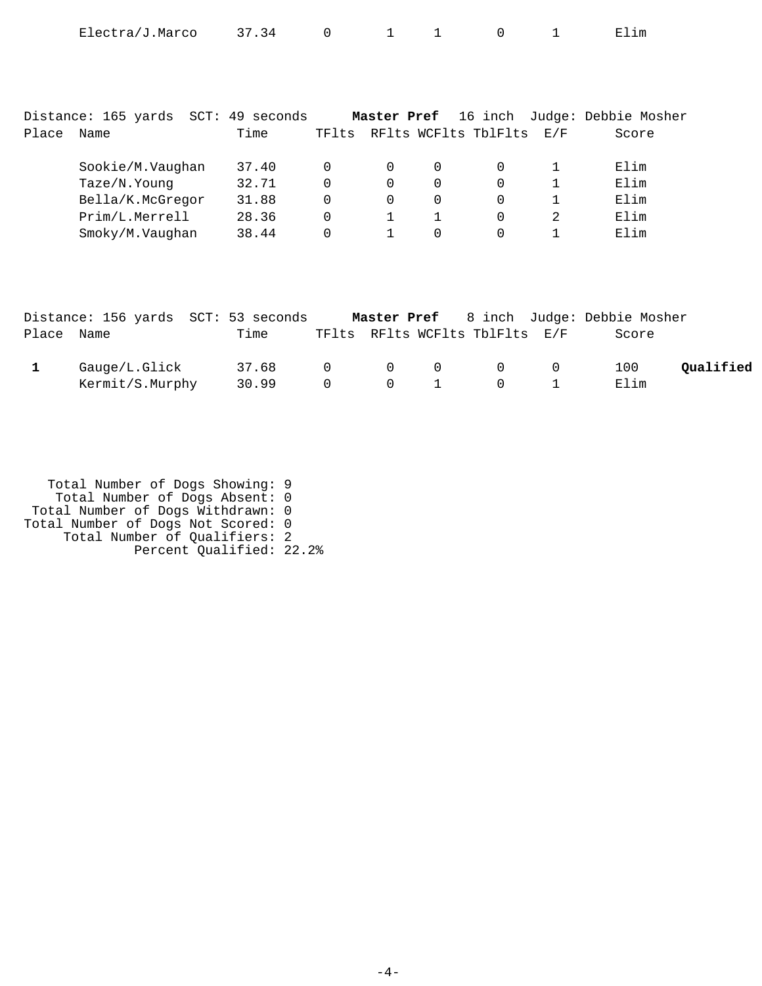| Electra/J.Marco | 37.34 |  |  |  |  |  | ⊥ım<br>п. н |
|-----------------|-------|--|--|--|--|--|-------------|
|-----------------|-------|--|--|--|--|--|-------------|

|       | Distance: 165 yards | SCT: | 49 seconds |       | Master Pref |          |                      |     | 16 inch Judge: Debbie Mosher |
|-------|---------------------|------|------------|-------|-------------|----------|----------------------|-----|------------------------------|
| Place | Name                |      | Time       | TFlts |             |          | RFlts WCFlts TblFlts | E/F | Score                        |
|       | Sookie/M.Vaughan    |      | 37.40      | 0     | $\Omega$    | $\Omega$ | $\Omega$             |     | Elim                         |
|       | Taze/N. Young       |      | 32.71      | 0     | 0           | 0        | $\Omega$             |     | Elim                         |
|       | Bella/K.McGregor    |      | 31.88      | 0     | 0           | $\Omega$ | $\Omega$             |     | Elim                         |
|       | Prim/L.Merrell      |      | 28.36      | 0     |             |          | 0                    |     | Elim                         |
|       | Smoky/M.Vaughan     |      | 38.44      |       |             |          | $\Omega$             |     | Elim                         |

|            | Distance: 156 yards SCT: 53 seconds |       |                       |                                              |                                                 | <b>Master Pref</b> 8 inch Judge: Debbie Mosher |           |
|------------|-------------------------------------|-------|-----------------------|----------------------------------------------|-------------------------------------------------|------------------------------------------------|-----------|
| Place Name |                                     | Time  |                       |                                              | TFlts RFlts WCFlts TblFlts E/F                  | Score                                          |           |
|            | Gauge/L.Glick                       | 37.68 |                       |                                              | $\begin{matrix} 0 & 0 & 0 & 0 & 0 \end{matrix}$ | 100                                            | Qualified |
|            | Kermit/S.Murphy                     | 30.99 | $\Omega$ and $\Omega$ | $\begin{array}{ccc} & & 0 & & 1 \end{array}$ | $\begin{array}{ccc} & & 0 & & \end{array}$      | Elim                                           |           |

| Total Number of Dogs Showing: 9    |  |
|------------------------------------|--|
| Total Number of Dogs Absent: 0     |  |
| Total Number of Dogs Withdrawn: 0  |  |
| Total Number of Dogs Not Scored: 0 |  |
| Total Number of Qualifiers: 2      |  |
| Percent Qualified: 22.2%           |  |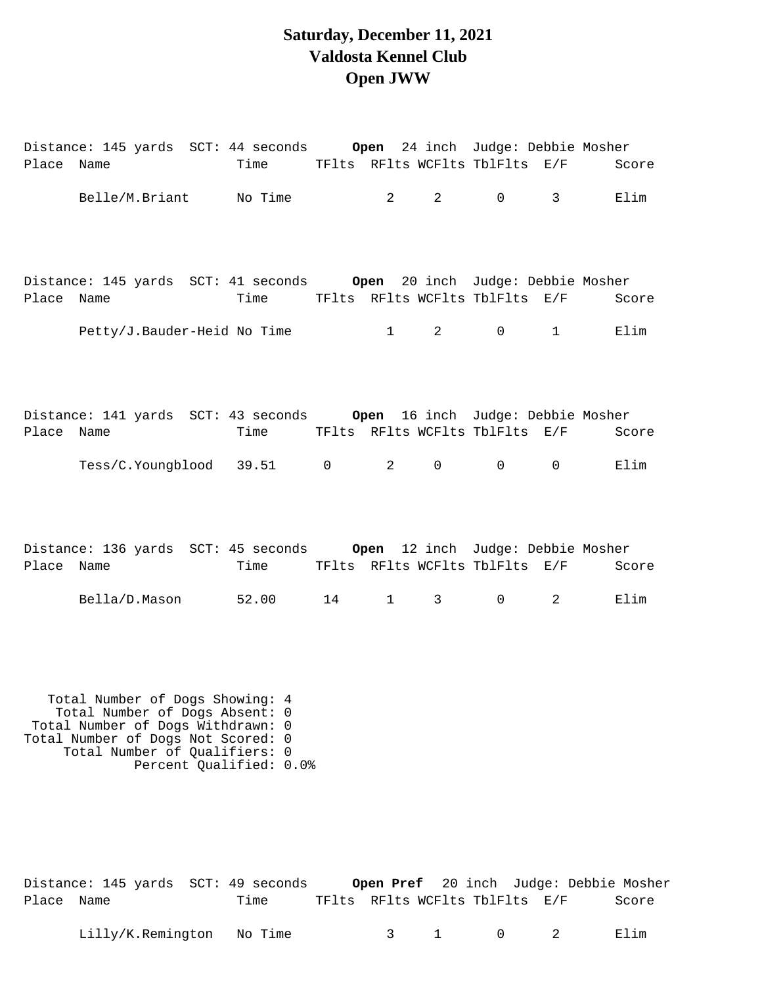## **Saturday, December 11, 2021 Valdosta Kennel Club Open JWW**

| Place Name |  | Time TFlts RFlts WCFlts TblFlts E/F                                                                                                                 |                                |                                |                   |                                     | Score         |
|------------|--|-----------------------------------------------------------------------------------------------------------------------------------------------------|--------------------------------|--------------------------------|-------------------|-------------------------------------|---------------|
|            |  | Belle/M.Briant No Time                                                                                                                              | $2 \left( \frac{1}{2} \right)$ | $2 \left( \frac{1}{2} \right)$ | $\overline{0}$    | $3^{\circ}$                         | Elim          |
| Place Name |  | Time TFlts RFlts WCFlts TblFlts E/F                                                                                                                 |                                |                                |                   |                                     | Score         |
|            |  | Petty/J.Bauder-Heid No Time 1                                                                                                                       |                                |                                |                   | $2 \qquad \qquad 0 \qquad \qquad 1$ | Elim          |
| Place Name |  | Distance: 141 yards SCT: 43 seconds     Open  16 inch  Judge: Debbie Mosher<br>Time TFlts RFlts WCFlts TblFlts E/F<br>Tess/C.Youngblood 39.51 0 2 0 |                                |                                | $\overline{0}$    | $\overline{0}$                      | Score<br>Elim |
| Place Name |  | Distance: 136 yards SCT: 45 seconds 0pen 12 inch Judge: Debbie Mosher<br>Time TFlts RFlts WCFlts TblFlts E/F                                        |                                |                                |                   |                                     | Score         |
|            |  | Bella/D.Mason 52.00 14 1                                                                                                                            |                                | $3 \left( \frac{1}{2} \right)$ | $0 \qquad \qquad$ | $2^{\circ}$                         | Elim          |
|            |  |                                                                                                                                                     |                                |                                |                   |                                     |               |

 Total Number of Dogs Showing: 4 Total Number of Dogs Absent: 0 Total Number of Dogs Withdrawn: 0 Total Number of Dogs Not Scored: 0 Total Number of Qualifiers: 0 Percent Qualified: 0.0%

| Distance: 145 yards SCT: 49 seconds |      |                                |  | Open Pref 20 inch Judge: Debbie Mosher |
|-------------------------------------|------|--------------------------------|--|----------------------------------------|
| Place Name                          | Time | TFlts RFlts WCFlts TblFlts E/F |  | Score                                  |

Lilly/K.Remington No Time 3 1 0 2 Elim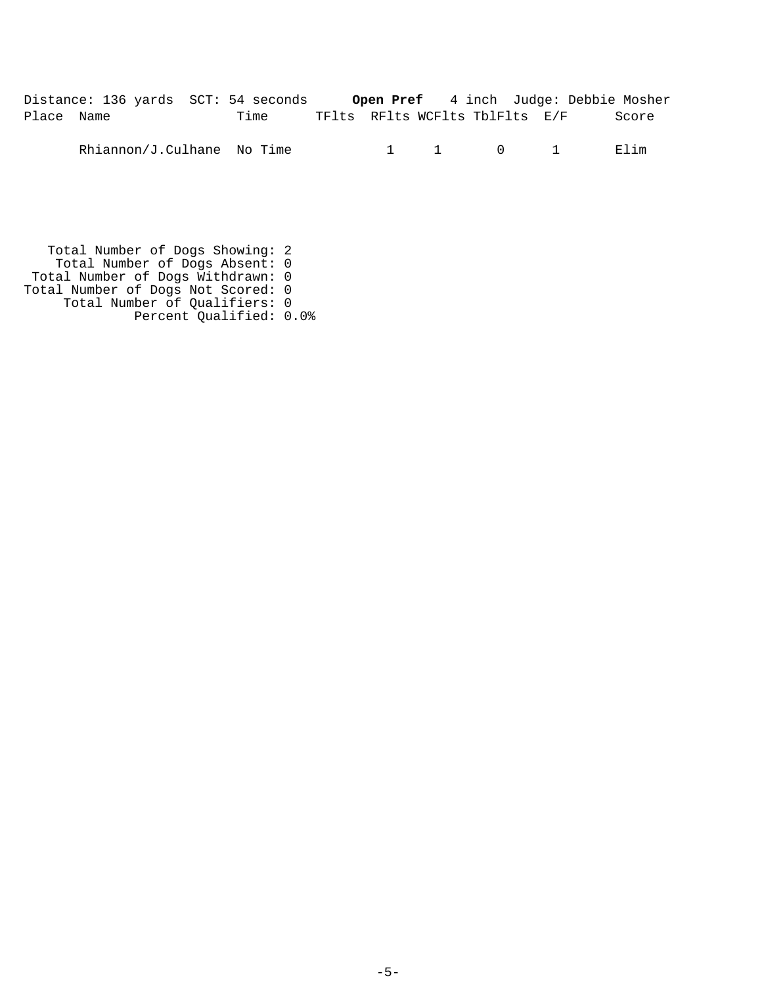Distance: 136 yards SCT: 54 seconds **Open Pref** 4 inch Judge: Debbie Mosher Place Name Time TFlts RFlts WCFlts TblFlts E/F Score

Rhiannon/J.Culhane No Time 1 1 1 0 1 Elim

 Total Number of Dogs Showing: 2 Total Number of Dogs Absent: 0 Total Number of Dogs Withdrawn: 0 Total Number of Dogs Not Scored: 0 Total Number of Qualifiers: 0 Percent Qualified: 0.0%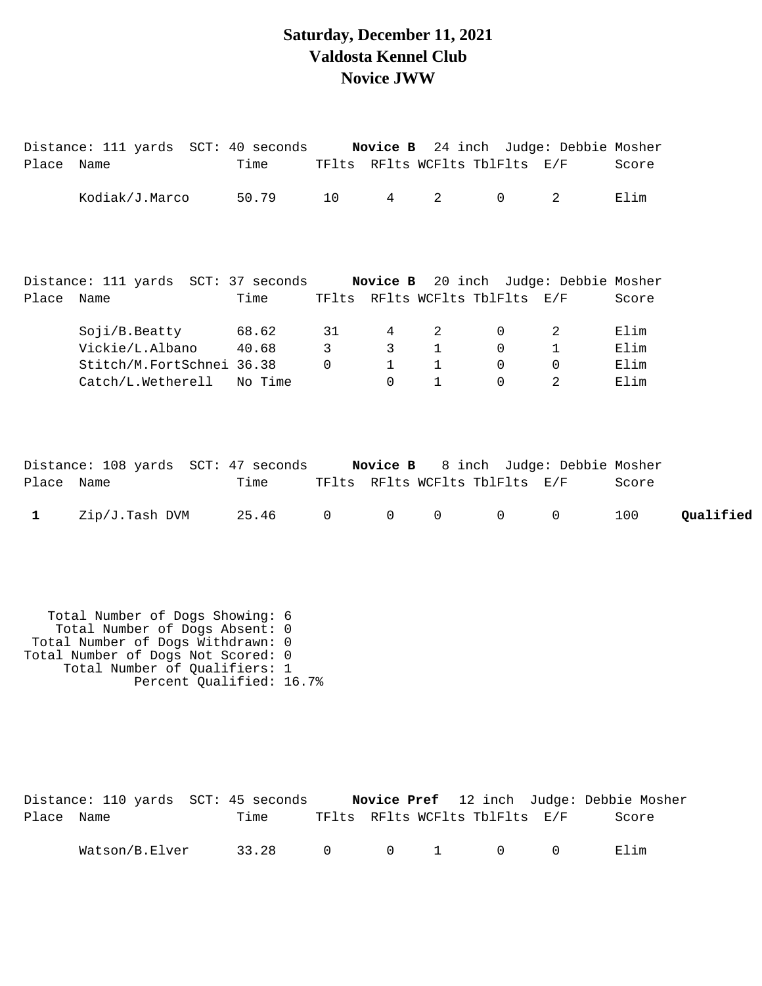#### **Saturday, December 11, 2021 Valdosta Kennel Club Novice JWW**

|                           | Distance: 111 yards SCT: 40 seconds Novice B 24 inch Judge: Debbie Mosher                                                                                                                                 |                           |                                |                                    |                                                   |                                                       |                                                |                              |           |
|---------------------------|-----------------------------------------------------------------------------------------------------------------------------------------------------------------------------------------------------------|---------------------------|--------------------------------|------------------------------------|---------------------------------------------------|-------------------------------------------------------|------------------------------------------------|------------------------------|-----------|
| Place Name                |                                                                                                                                                                                                           | Time                      |                                |                                    |                                                   | TFlts RFlts WCFlts TblFlts E/F                        |                                                | Score                        |           |
|                           | Kodiak/J.Marco                                                                                                                                                                                            | 50.79                     | 10                             | $4\overline{ }$                    | $2^{\circ}$                                       | $\mathsf{O}$                                          | $\overline{a}$                                 | Elim                         |           |
|                           | Distance: 111 yards SCT: 37 seconds Novice B 20 inch Judge: Debbie Mosher                                                                                                                                 |                           |                                |                                    |                                                   |                                                       |                                                |                              |           |
| Place Name                |                                                                                                                                                                                                           | Time                      |                                |                                    |                                                   | TFlts RFlts WCFlts TblFlts E/F                        |                                                | Score                        |           |
|                           | Soji/B.Beatty<br>Vickie/L.Albano<br>Stitch/M.FortSchnei 36.38<br>Catch/L.Wetherell                                                                                                                        | 68.62<br>40.68<br>No Time | 31<br>$\mathsf{3}$<br>$\Omega$ | 4<br>3<br>$\mathbf{1}$<br>$\Omega$ | 2<br>$\mathbf{1}$<br>$\mathbf{1}$<br>$\mathbf{1}$ | 0<br>$\mathbf 0$<br>$\Omega$<br>$\Omega$              | 2<br>$\mathbf 1$<br>$\Omega$<br>$\overline{2}$ | Elim<br>Elim<br>Elim<br>Elim |           |
| Place Name<br>$\mathbf 1$ | Distance: 108 yards SCT: 47 seconds<br>Zip/J.Tash DVM                                                                                                                                                     | Time<br>25.46             | $\mathsf{O}$                   | Novice B<br>$\overline{0}$         | $\mathsf{O}$                                      | TFlts RFlts WCFlts TblFlts E/F<br>$\mathsf{O}\xspace$ | 8 inch Judge: Debbie Mosher<br>$\mathsf{O}$    | Score<br>100                 | Qualified |
|                           | Total Number of Dogs Showing: 6<br>Total Number of Dogs Absent: 0<br>Total Number of Dogs Withdrawn: 0<br>Total Number of Dogs Not Scored: 0<br>Total Number of Qualifiers: 1<br>Percent Qualified: 16.7% |                           |                                |                                    |                                                   |                                                       |                                                |                              |           |

|            | Distance: 110 yards  SCT: 45 seconds |       |  |                                |                | Novice Pref 12 inch Judge: Debbie Mosher |
|------------|--------------------------------------|-------|--|--------------------------------|----------------|------------------------------------------|
| Place Name |                                      | Time  |  | TFlts RFlts WCFlts TblFlts E/F |                | Score                                    |
|            | Watson/B.Elver                       | 33.28 |  | $0 \qquad 0 \qquad 1 \qquad 0$ | $\overline{0}$ | Elim                                     |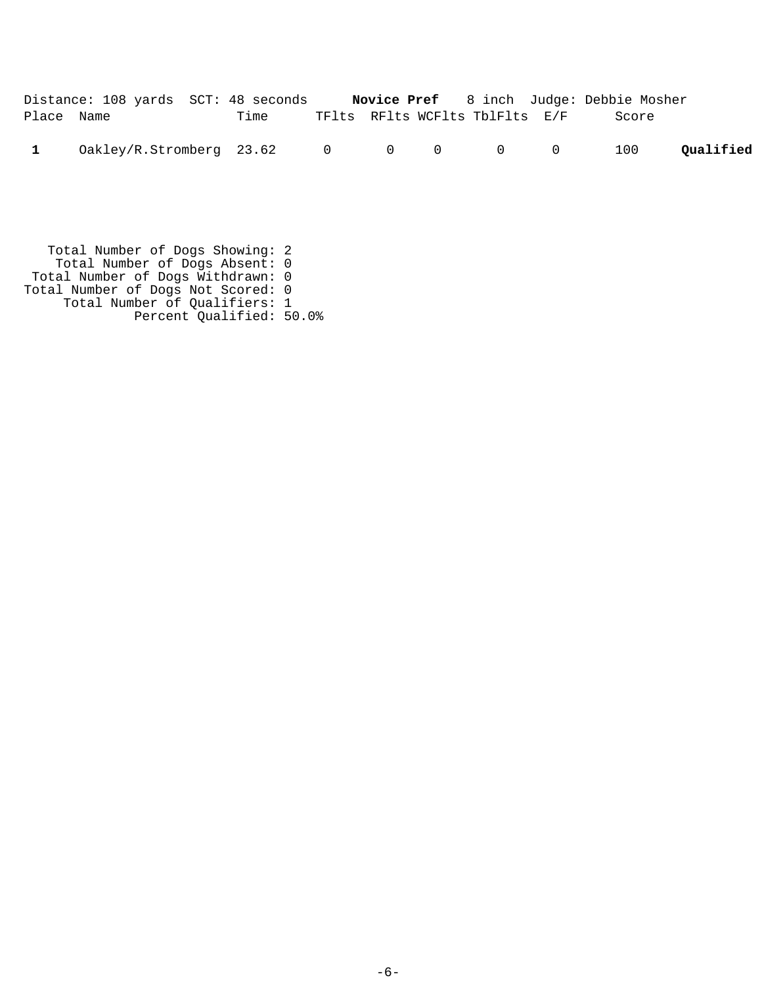|            | Distance: 108 yards SCT: 48 seconds                                                                            |      |  |                                | <b>Novice Pref</b> 8 inch Judge: Debbie Mosher |           |
|------------|----------------------------------------------------------------------------------------------------------------|------|--|--------------------------------|------------------------------------------------|-----------|
| Place Name |                                                                                                                | Time |  | TFlts RFlts WCFlts TblFlts E/F | Score                                          |           |
|            | $0 \, \text{akley/R}. \, \text{Stromberg} \quad 23.62 \qquad 0 \qquad 0 \qquad 0 \qquad 0 \qquad 0 \qquad 100$ |      |  |                                |                                                | Oualified |
|            |                                                                                                                |      |  |                                |                                                |           |

 Total Number of Dogs Showing: 2 Total Number of Dogs Absent: 0 Total Number of Dogs Withdrawn: 0 Total Number of Dogs Not Scored: 0 Total Number of Qualifiers: 1 Percent Qualified: 50.0%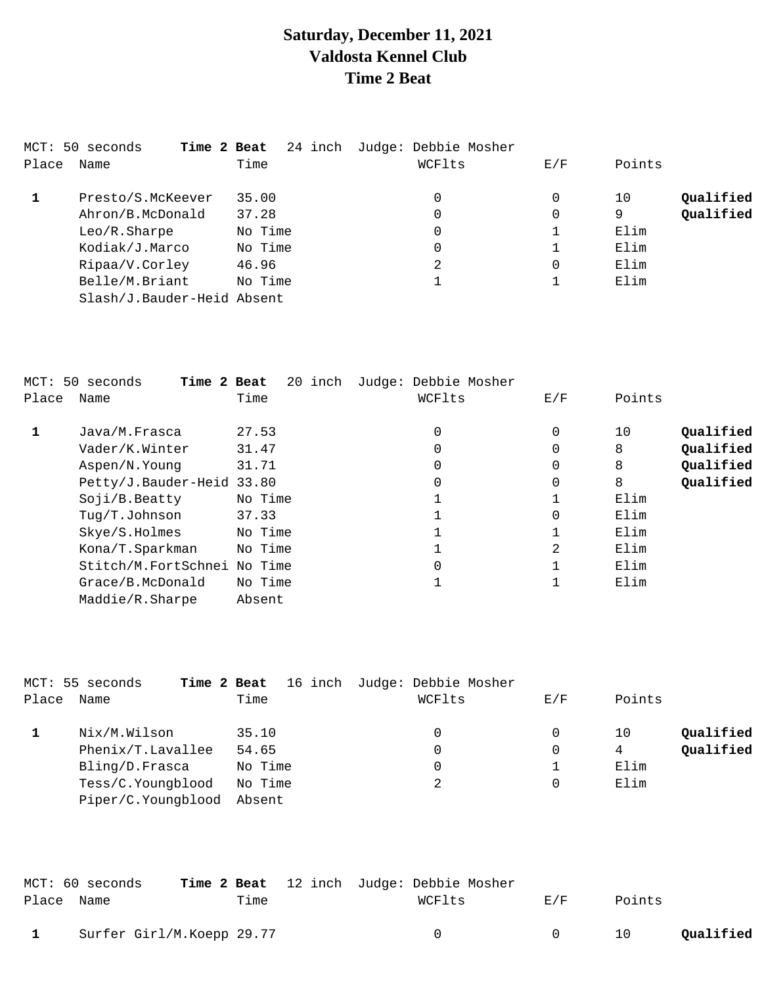# **Saturday, December 11, 2021 Valdosta Kennel Club Time 2 Beat**

|       | MCT: 50 seconds<br>Time 2 Beat | 24 inch | Judge: Debbie Mosher |     |                 |
|-------|--------------------------------|---------|----------------------|-----|-----------------|
| Place | Name                           | Time    | WCFlts               | E/F | Points          |
|       | Presto/S.McKeever              | 35.00   | 0                    | 0   | Qualified<br>10 |
|       | Ahron/B.McDonald               | 37.28   | 0                    | 0   | Oualified<br>9  |
|       | Leo/R.Sharpe                   | No Time | 0                    |     | Elim            |
|       | Kodiak/J.Marco                 | No Time | 0                    |     | Elim            |
|       | Ripaa/V.Corley                 | 46.96   | 2                    | 0   | Elim            |
|       | Belle/M.Briant                 | No Time |                      |     | Elim            |
|       | Slash/J.Bauder-Heid Absent     |         |                      |     |                 |

| Place | MCT: 50 seconds<br>Time 2 Beat<br>Name | 20 inch<br>Time | Judge: Debbie Mosher<br>WCFlts | E/F          | Points |           |
|-------|----------------------------------------|-----------------|--------------------------------|--------------|--------|-----------|
| 1     | Java/M.Frasca                          | 27.53           | 0                              | 0            | 10     | Qualified |
|       | Vader/K.Winter                         | 31.47           | 0                              | 0            | 8      | Qualified |
|       | Aspen/N.Young                          | 31.71           | 0                              | 0            | 8      | Qualified |
|       | Petty/J.Bauder-Heid                    | 33.80           | 0                              | $\mathbf 0$  | 8      | Qualified |
|       | Soji/B.Beatty                          | No Time         |                                |              | Elim   |           |
|       | Tug/T.Johnson                          | 37.33           |                                | 0            | Elim   |           |
|       | Skye/S.Holmes                          | No Time         |                                |              | Elim   |           |
|       | Kona/T.Sparkman                        | No Time         |                                | 2            | Elim   |           |
|       | Stitch/M.FortSchnei No Time            |                 | 0                              | $\mathbf{1}$ | Elim   |           |
|       | Grace/B.McDonald                       | No Time         |                                |              | Elim   |           |
|       | Maddie/R.Sharpe                        | Absent          |                                |              |        |           |

|       | MCT: 55 seconds<br>Time 2 Beat | 16 inch | Judge: Debbie Mosher |          |        |           |
|-------|--------------------------------|---------|----------------------|----------|--------|-----------|
| Place | Name                           | Time    | WCFlts               | E/F      | Points |           |
|       | Nix/M.Wilson                   | 35.10   | 0                    | 0        | 10     | Qualified |
|       | Phenix/T.Lavallee              | 54.65   | 0                    | 0        | 4      | Qualified |
|       | Bling/D.Frasca                 | No Time |                      |          | Elim   |           |
|       | Tess/C.Youngblood              | No Time | 2                    | $\Omega$ | Elim   |           |
|       | Piper/C.Youngblood             | Absent  |                      |          |        |           |
|       |                                |         |                      |          |        |           |

|            | MCT: 60 seconds           |      | <b>Time 2 Beat</b> 12 inch Judge: Debbie Mosher |           |        |           |
|------------|---------------------------|------|-------------------------------------------------|-----------|--------|-----------|
| Place Name |                           | Time | WCFlts                                          | F. / F    | Points |           |
|            | Surfer Girl/M.Koepp 29.77 |      | $^{\circ}$                                      | $\bigcap$ | 10     | Qualified |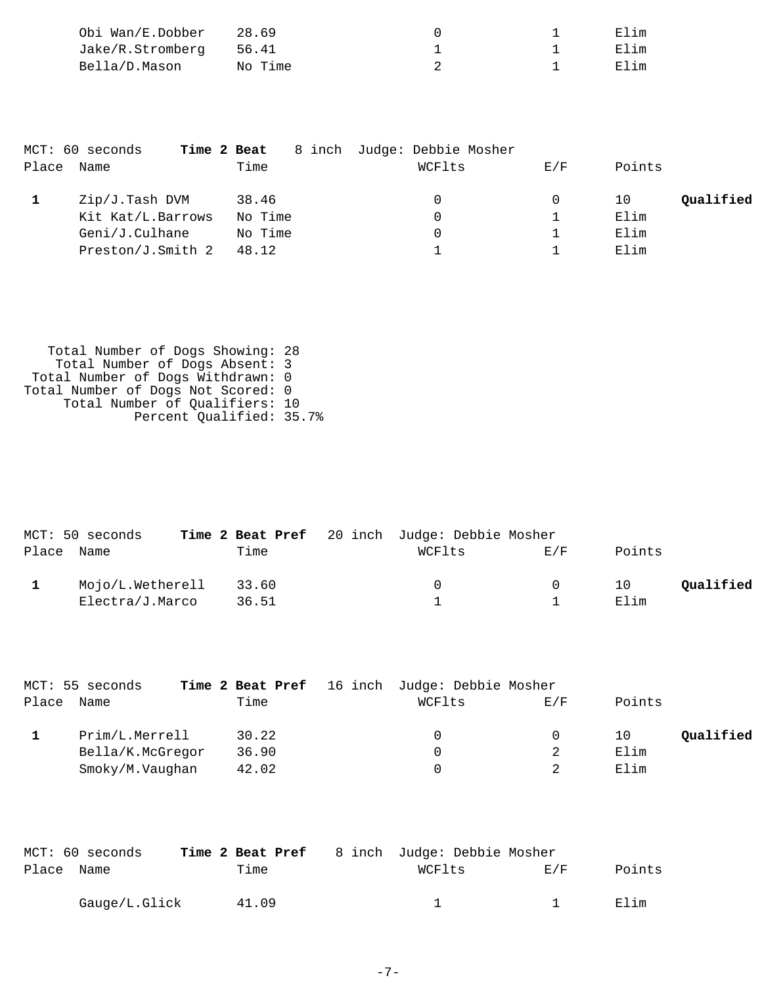| Obi Wan/E.Dobber       | 28.69   |  | Elim |
|------------------------|---------|--|------|
| Jake/R.Stromberg 56.41 |         |  | Elim |
| Bella/D.Mason          | No Time |  | Elim |

|       | MCT: 60 seconds<br>Time 2 Beat |         | 8 inch Judge: Debbie Mosher |     |                 |
|-------|--------------------------------|---------|-----------------------------|-----|-----------------|
| Place | Name                           | Time    | WCFlts                      | E/F | Points          |
|       | Zip/J.Tash DVM                 | 38.46   | 0                           | 0   | Oualified<br>10 |
|       | Kit Kat/L.Barrows              | No Time | 0                           |     | Elim            |
|       | Geni/J.Culhane                 | No Time | 0                           |     | Elim            |
|       | Preston/J.Smith 2              | 48.12   |                             |     | Elim            |

 Total Number of Dogs Showing: 28 Total Number of Dogs Absent: 3 Total Number of Dogs Withdrawn: 0 Total Number of Dogs Not Scored: 0 Total Number of Qualifiers: 10 Percent Qualified: 35.7%

| MCT: 50 seconds        |       | Time 2 Beat Pref 20 inch Judge: Debbie Mosher |        |        |           |
|------------------------|-------|-----------------------------------------------|--------|--------|-----------|
| Place Name             | Time  | WCFlts                                        | F/K    | Points |           |
| Mojo/L.Wetherell 33.60 |       | $\left( \right)$                              | $\cup$ | 1 O    | Oualified |
| Electra/J.Marco        | 36.51 |                                               |        | Elim   |           |

|       | MCT: 55 seconds  |       | Time 2 Beat Pref 16 inch Judge: Debbie Mosher |     |        |           |
|-------|------------------|-------|-----------------------------------------------|-----|--------|-----------|
| Place | Name             | Time  | WCFlts                                        | E/F | Points |           |
|       | Prim/L.Merrell   | 30.22 | 0                                             |     | 10     | Qualified |
|       | Bella/K.McGregor | 36.90 | 0                                             | 2   | Elim   |           |
|       | Smoky/M.Vaughan  | 42.02 | 0                                             |     | Elim   |           |
|       |                  |       |                                               |     |        |           |

|            | MCT: 60 seconds |       | <b>Time 2 Beat Pref</b> 8 inch Judge: Debbie Mosher |                |        |
|------------|-----------------|-------|-----------------------------------------------------|----------------|--------|
| Place Name |                 | Time  | WCFlts                                              | F. / F         | Points |
|            | Gauge/L.Glick   | 41.09 |                                                     | $\overline{1}$ | Elim   |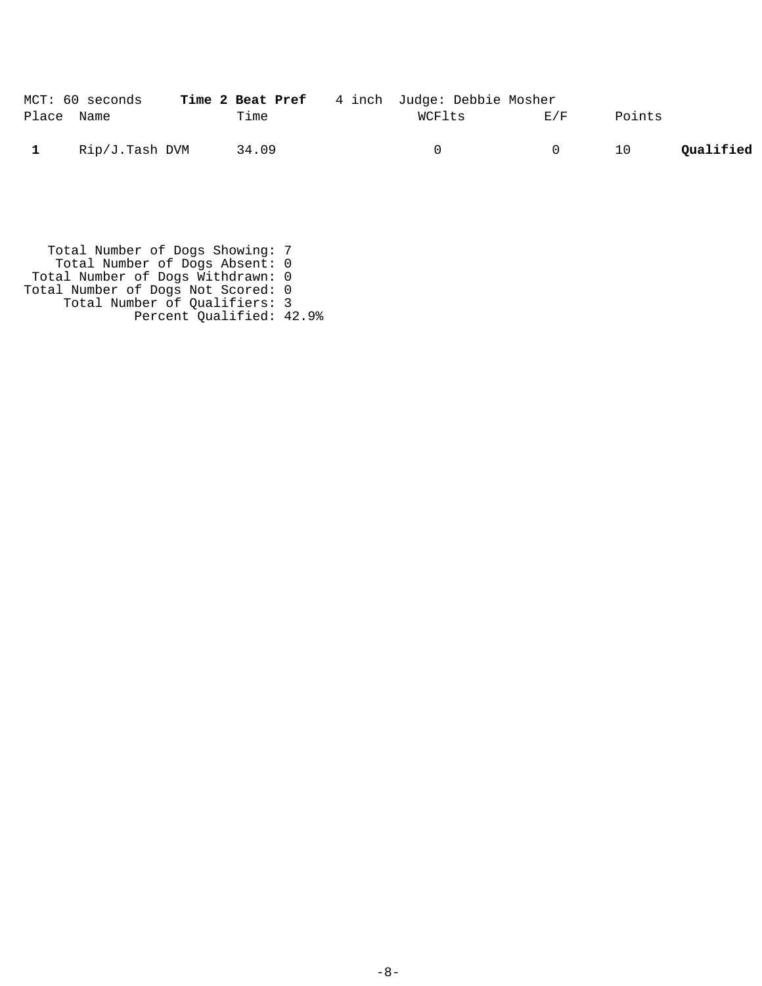|              | MCT: 60 seconds | <b>Time 2 Beat Pref</b> 4 inch Judge: Debbie Mosher |        |        |               |           |
|--------------|-----------------|-----------------------------------------------------|--------|--------|---------------|-----------|
| Place Name   |                 | Time                                                | WCFlts | E/F    | Points        |           |
| $\mathbf{1}$ | Rip/J.Tash DVM  | 34.09                                               | (1)    | $\cup$ | <sup>10</sup> | Qualified |

 Total Number of Dogs Showing: 7 Total Number of Dogs Absent: 0 Total Number of Dogs Withdrawn: 0 Total Number of Dogs Not Scored: 0 Total Number of Qualifiers: 3 Percent Qualified: 42.9%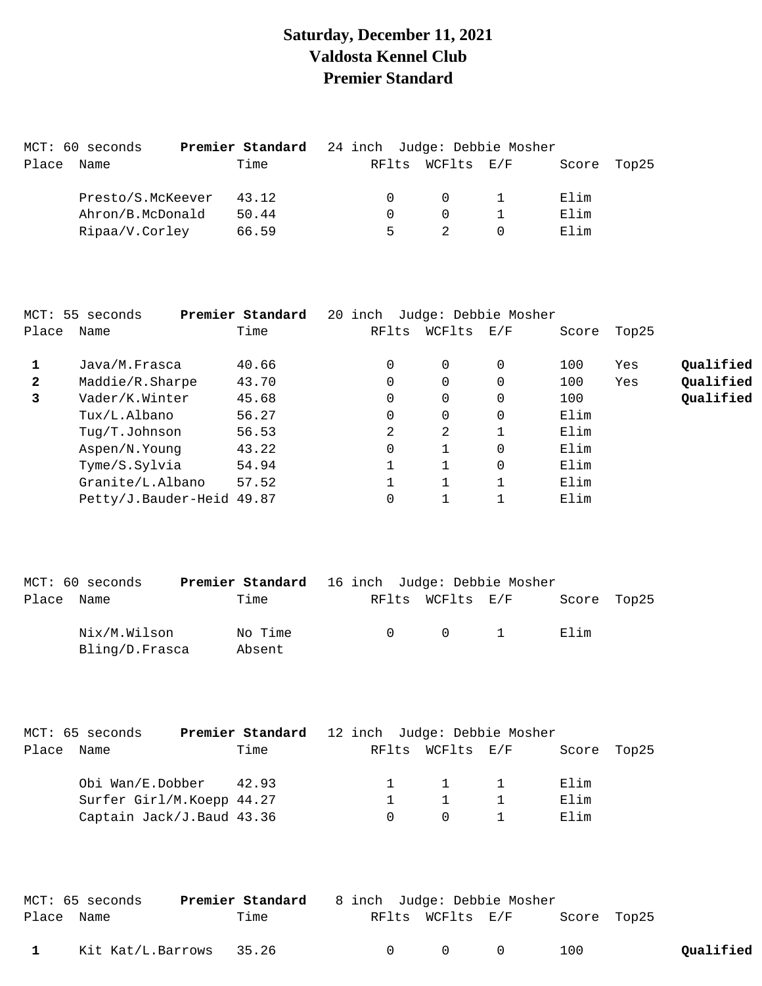### **Saturday, December 11, 2021 Valdosta Kennel Club Premier Standard**

|       | MCT: 60 seconds   | <b>Premier Standard</b> 24 inch Judge: Debbie Mosher |          |                  |       |       |
|-------|-------------------|------------------------------------------------------|----------|------------------|-------|-------|
| Place | Name              | Time                                                 |          | RFlts WCFlts E/F | Score | Top25 |
|       | Presto/S.McKeever | 43.12                                                | $\cap$   | $\Omega$         | Elim  |       |
|       | Ahron/B.McDonald  | 50.44                                                | $\Omega$ | $\Omega$         | Elim  |       |
|       | Ripaa/V.Corley    | 66.59                                                | 5        |                  | Elim  |       |

|              | MCT: 55 seconds           | Premier Standard | 20 inch |          | Judge: Debbie Mosher |       |       |           |
|--------------|---------------------------|------------------|---------|----------|----------------------|-------|-------|-----------|
| Place        | Name                      | Time             | RFlts   | WCFlts   | E/F                  | Score | Top25 |           |
|              | Java/M.Frasca             | 40.66            | 0       | $\Omega$ | 0                    | 100   | Yes   | Qualified |
| $\mathbf{2}$ | Maddie/R.Sharpe           | 43.70            | 0       | $\Omega$ | 0                    | 100   | Yes   | Qualified |
| 3            | Vader/K.Winter            | 45.68            | 0       | $\Omega$ | 0                    | 100   |       | Qualified |
|              | Tux/L.Albano              | 56.27            | 0       | $\Omega$ | 0                    | Elim  |       |           |
|              | Tug/T.Johnson             | 56.53            | 2       | 2        |                      | Elim  |       |           |
|              | Aspen/N.Young             | 43.22            | 0       | 1        | 0                    | Elim  |       |           |
|              | Tyme/S.Sylvia             | 54.94            |         |          | 0                    | Elim  |       |           |
|              | Granite/L.Albano          | 57.52            |         |          |                      | Elim  |       |           |
|              | Petty/J.Bauder-Heid 49.87 |                  |         |          |                      | Elim  |       |           |

| MCT: 60 seconds                | <b>Premier Standard</b> 16 inch Judge: Debbie Mosher |           |                                                    |             |  |
|--------------------------------|------------------------------------------------------|-----------|----------------------------------------------------|-------------|--|
| Place<br>Name                  | Time                                                 |           | RFlts WCFlts E/F                                   | Score Top25 |  |
| Nix/M.Wilson<br>Bling/D.Frasca | No Time<br>Absent                                    | $\bigcap$ | $\begin{array}{ccc} & & 0 & \quad & 1 \end{array}$ | Elim        |  |

| MCT: 65 seconds           | Premier Standard 12 inch Judge: Debbie Mosher |        |                  |             |  |
|---------------------------|-----------------------------------------------|--------|------------------|-------------|--|
| Place Name                | Time                                          |        | RFlts WCFlts E/F | Score Top25 |  |
| Obi Wan/E.Dobber 42.93    |                                               |        | 1 1              | Elim        |  |
| Surfer Girl/M.Koepp 44.27 |                                               |        | $\mathbf{1}$     | Elim        |  |
| Captain Jack/J.Baud 43.36 |                                               | $\cap$ | $\Omega$         | Elim        |  |

|              | MCT: 65 seconds         | Premier Standard | 8 inch Judge: Debbie Mosher |                                         |             |           |
|--------------|-------------------------|------------------|-----------------------------|-----------------------------------------|-------------|-----------|
| Place Name   |                         | Time             |                             | RFlts WCFlts E/F                        | Score Top25 |           |
| $\mathbf{1}$ | Kit Kat/L.Barrows 35.26 |                  |                             | $\begin{matrix} 0 & 0 & 0 \end{matrix}$ | 100         | Qualified |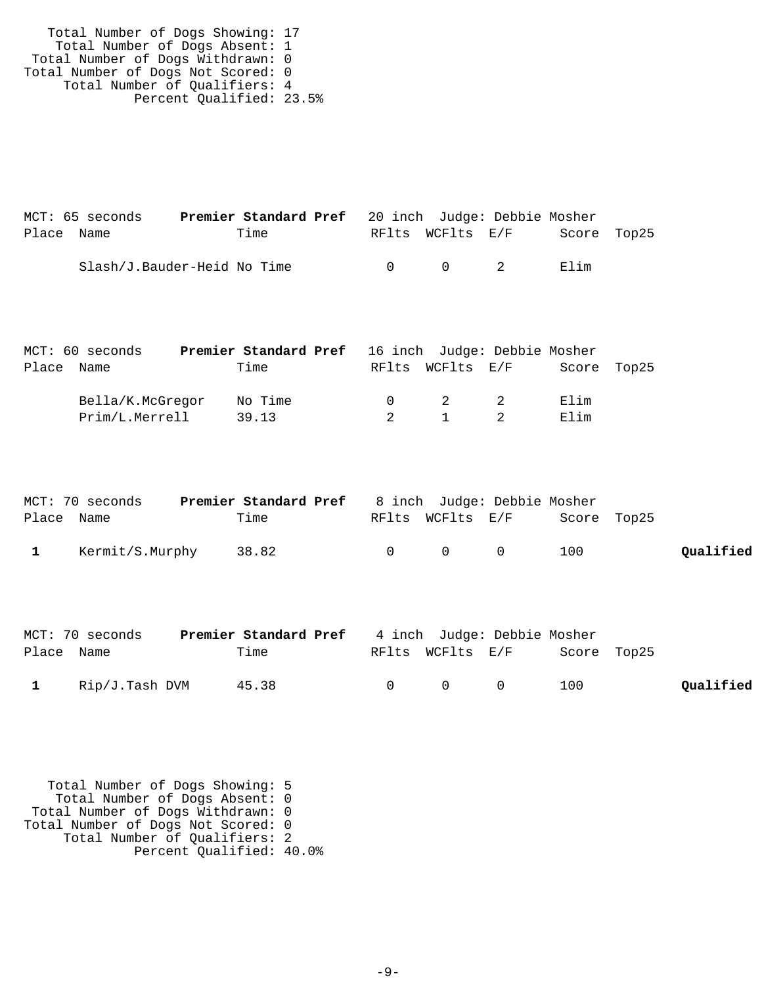| Total Number of Dogs Showing: 17   |  |
|------------------------------------|--|
| Total Number of Dogs Absent: 1     |  |
| Total Number of Dogs Withdrawn: 0  |  |
| Total Number of Dogs Not Scored: 0 |  |
| Total Number of Qualifiers: 4      |  |
| Percent Qualified: 23.5%           |  |

| MCT: 65 seconds             | <b>Premier Standard Pref</b> 20 inch Judge: Debbie Mosher |        |                                        |             |  |
|-----------------------------|-----------------------------------------------------------|--------|----------------------------------------|-------------|--|
| Place Name                  | Time                                                      |        | RFlts WCFlts E/F                       | Score Top25 |  |
| Slash/J.Bauder-Heid No Time |                                                           | $\cap$ | $\begin{array}{ccc} 0 & 2 \end{array}$ | Flim        |  |

| MCT: 60 seconds  | <b>Premier Standard Pref</b> 16 inch Judge: Debbie Mosher |        |                  |                |             |  |
|------------------|-----------------------------------------------------------|--------|------------------|----------------|-------------|--|
| Place Name       | Time                                                      |        | RFlts WCFlts E/F |                | Score Top25 |  |
| Bella/K.McGregor | No Time                                                   | $\cap$ | $\overline{2}$   | $\overline{2}$ | Elim        |  |
| Prim/L.Merrell   | 39.13                                                     |        | $\mathbf{1}$     |                | Elim        |  |
|                  |                                                           |        |                  |                |             |  |

|              | MCT: 70 seconds | <b>Premier Standard Pref</b> 8 inch Judge: Debbie Mosher |                                         |             |           |
|--------------|-----------------|----------------------------------------------------------|-----------------------------------------|-------------|-----------|
| Place Name   |                 | Time                                                     | RFlts WCFlts E/F                        | Score Top25 |           |
| $\mathbf{1}$ | Kermit/S.Murphy | 38.82                                                    | $\begin{matrix} 0 & 0 & 0 \end{matrix}$ | 100         | Qualified |

|              | MCT: 70 seconds | <b>Premier Standard Pref</b> 4 inch Judge: Debbie Mosher |                                         |             |           |
|--------------|-----------------|----------------------------------------------------------|-----------------------------------------|-------------|-----------|
| Place Name   |                 | Time                                                     | RFlts WCFlts E/F                        | Score Top25 |           |
| $\mathbf{1}$ | Rip/J.Tash DVM  | 45.38                                                    | $\begin{matrix} 0 & 0 & 0 \end{matrix}$ | 100         | Qualified |

 Total Number of Dogs Showing: 5 Total Number of Dogs Absent: 0 Total Number of Dogs Withdrawn: 0 Total Number of Dogs Not Scored: 0 Total Number of Qualifiers: 2 Percent Qualified: 40.0%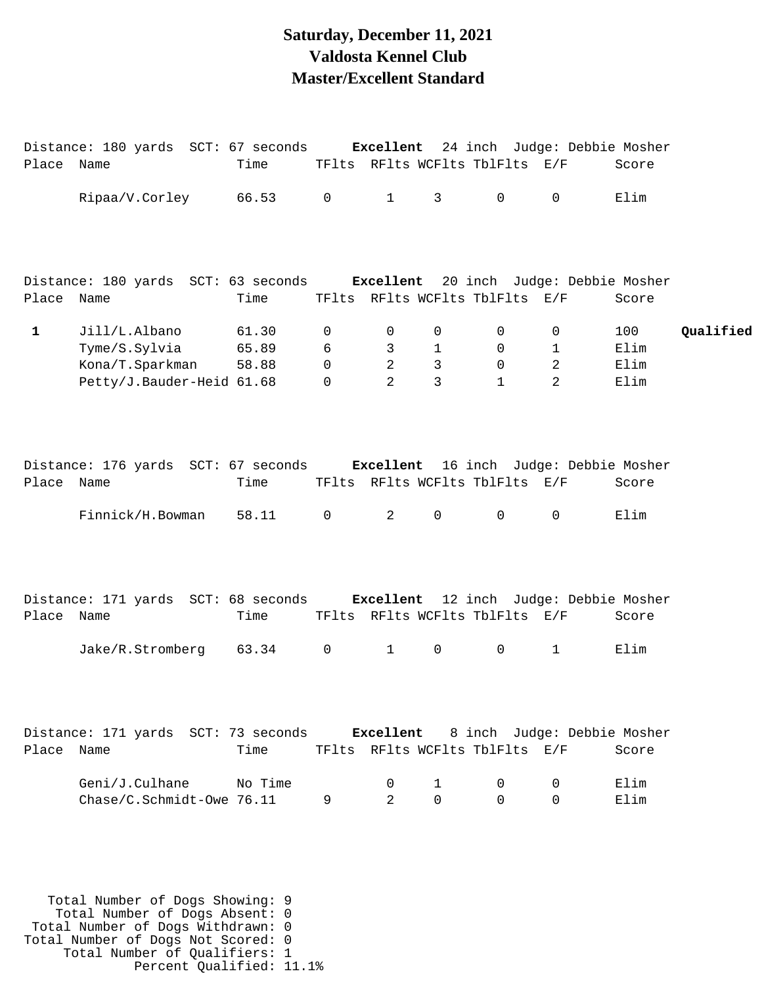#### **Saturday, December 11, 2021 Valdosta Kennel Club Master/Excellent Standard**

|              | Distance: 180 yards SCT: 67 seconds                                        |         |               |                |                     |                                |                                  | <b>Excellent</b> 24 inch Judge: Debbie Mosher |           |
|--------------|----------------------------------------------------------------------------|---------|---------------|----------------|---------------------|--------------------------------|----------------------------------|-----------------------------------------------|-----------|
| Place Name   |                                                                            | Time    |               |                |                     | TFlts RFlts WCFlts TblFlts E/F |                                  | Score                                         |           |
|              | Ripaa/V.Corley                                                             | 66.53   | $\mathsf{O}$  | $\mathbf{1}$   | 3 <sup>7</sup>      | $\mathsf{O}$                   | $\Omega$                         | Elim                                          |           |
|              |                                                                            |         |               |                |                     |                                |                                  |                                               |           |
| Place Name   | Distance: 180 yards SCT: 63 seconds Excellent 20 inch Judge: Debbie Mosher | Time    |               |                |                     | TFlts RFlts WCFlts TblFlts E/F |                                  | Score                                         |           |
|              |                                                                            |         |               |                |                     |                                |                                  |                                               |           |
| $\mathbf{1}$ | Jill/L.Albano                                                              | 61.30   | 0             | 0              | 0                   | 0                              | $\mathsf{O}$                     | 100                                           | Qualified |
|              | Tyme/S.Sylvia                                                              | 65.89   | 6<br>$\Omega$ | 3<br>2         | $\mathbf{1}$        | 0<br>$\mathbf 0$               | $\mathbf 1$                      | Elim<br>Elim                                  |           |
|              | Kona/T.Sparkman<br>Petty/J.Bauder-Heid 61.68                               | 58.88   | 0             | 2              | 3<br>3              | $\mathbf{1}$                   | $\overline{2}$<br>$\overline{a}$ | Elim                                          |           |
|              |                                                                            |         |               |                |                     |                                |                                  |                                               |           |
| Place Name   | Distance: 176 yards SCT: 67 seconds Excellent 16 inch Judge: Debbie Mosher | Time    |               |                |                     | TFlts RFlts WCFlts TblFlts E/F |                                  | Score                                         |           |
|              | Finnick/H.Bowman                                                           | 58.11   | $\mathsf{O}$  | $\overline{2}$ | $\mathsf{O}\xspace$ | $\mathsf{O}$                   | $\mathsf{O}$                     | Elim                                          |           |
| Place Name   | Distance: 171 yards SCT: 68 seconds Excellent 12 inch Judge: Debbie Mosher | Time    |               |                |                     | TFlts RFlts WCFlts TblFlts E/F |                                  | Score                                         |           |
|              | Jake/R.Stromberg                                                           | 63.34   | $\mathsf{O}$  | $\mathbf{1}$   | 0                   | 0                              | $\mathbf{1}$                     | Elim                                          |           |
| Place Name   | Distance: 171 yards SCT: 73 seconds Excellent 8 inch Judge: Debbie Mosher  | Time    |               |                |                     | TFlts RFlts WCFlts TblFlts E/F |                                  | Score                                         |           |
|              |                                                                            |         |               |                |                     |                                |                                  |                                               |           |
|              | Geni/J.Culhane                                                             | No Time |               | 0              | 1                   | 0                              | 0                                | Elim                                          |           |
|              | Chase/C.Schmidt-Owe 76.11                                                  |         | 9             | $\overline{2}$ | $\mathbf 0$         | $\Omega$                       | $\Omega$                         | Elim                                          |           |
|              |                                                                            |         |               |                |                     |                                |                                  |                                               |           |
|              |                                                                            |         |               |                |                     |                                |                                  |                                               |           |

 Total Number of Dogs Showing: 9 Total Number of Dogs Absent: 0 Total Number of Dogs Withdrawn: 0 Total Number of Dogs Not Scored: 0 Total Number of Qualifiers: 1 Percent Qualified: 11.1%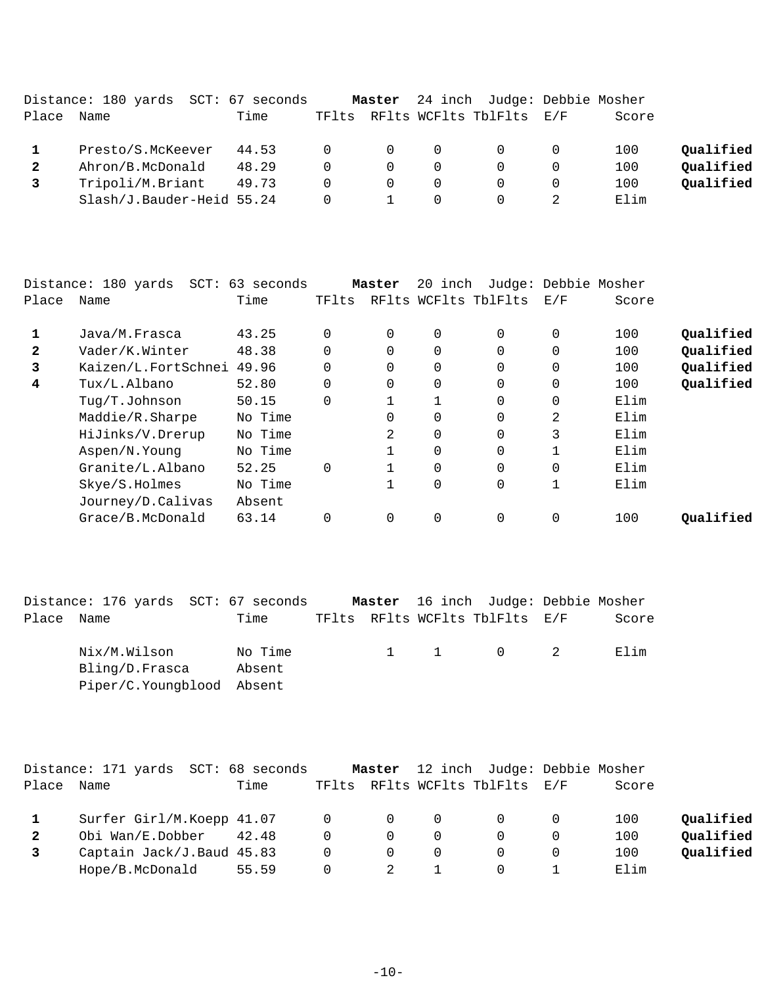|              | Distance: 180 yards SCT: 67 seconds |       |          | Master         |          | 24 inch Judge: Debbie Mosher |       |           |
|--------------|-------------------------------------|-------|----------|----------------|----------|------------------------------|-------|-----------|
| Place        | Name                                | Time  | TFlts    |                |          | RFlts WCFlts TblFlts E/F     | Score |           |
|              | Presto/S.McKeever                   | 44.53 | $\Omega$ | $\overline{0}$ | $\Omega$ | $\Omega$                     | 100   | Qualified |
| $\mathbf{2}$ | Ahron/B.McDonald                    | 48.29 | $\Omega$ | $\Omega$       | $\Omega$ | $\Omega$                     | 100   | Qualified |
|              | Tripoli/M.Briant                    | 49.73 | $\Omega$ | $\Omega$       | $\Omega$ |                              | 100   | Qualified |
|              | Slash/J.Bauder-Heid 55.24           |       | $\Omega$ |                | $\Omega$ | $\Omega$                     | Elim  |           |

|       | Distance: 180 yards<br>$SCT$ : | 63 seconds |          | Master   | 20 inch      |                      |              | Judge: Debbie Mosher |           |
|-------|--------------------------------|------------|----------|----------|--------------|----------------------|--------------|----------------------|-----------|
| Place | Name                           | Time       | TFlts    |          |              | RFlts WCFlts TblFlts | E/F          | Score                |           |
|       | Java/M.Frasca                  | 43.25      | $\Omega$ | $\Omega$ | $\mathbf 0$  | $\Omega$             | $\Omega$     | 100                  | Qualified |
| 2     | Vader/K.Winter                 | 48.38      | 0        | 0        | 0            | $\Omega$             | 0            | 100                  | Qualified |
| 3     | Kaizen/L.FortSchnei            | 49.96      | $\Omega$ | $\Omega$ | $\Omega$     | $\Omega$             | $\Omega$     | 100                  | Qualified |
| 4     | Tux/L.Albano                   | 52.80      | $\Omega$ | 0        | 0            | $\Omega$             | $\Omega$     | 100                  | Qualified |
|       | Tug/T.Johnson                  | 50.15      | $\Omega$ |          | $\mathbf{1}$ | $\Omega$             | $\Omega$     | Elim                 |           |
|       | Maddie/R.Sharpe                | No Time    |          | $\Omega$ | $\mathbf 0$  | $\Omega$             | 2            | Elim                 |           |
|       | HiJinks/V.Drerup               | No Time    |          | 2        | $\Omega$     | $\Omega$             | 3            | Elim                 |           |
|       | Aspen/N.Young                  | No Time    |          |          | $\mathbf 0$  | $\Omega$             |              | Elim                 |           |
|       | Granite/L.Albano               | 52.25      | $\Omega$ |          | $\Omega$     | $\Omega$             | $\Omega$     | Elim                 |           |
|       | Skye/S.Holmes                  | No Time    |          |          | $\mathbf 0$  | $\Omega$             | $\mathbf{1}$ | Elim                 |           |
|       | Journey/D.Calivas              | Absent     |          |          |              |                      |              |                      |           |
|       | Grace/B.McDonald               | 63.14      | 0        | 0        | $\mathbf 0$  | $\Omega$             | 0            | 100                  | Oualified |
|       |                                |            |          |          |              |                      |              |                      |           |

|            | Distance: 176 yards SCT: 67 seconds                         |                   |  | Master 16 inch Judge: Debbie Mosher |       |  |
|------------|-------------------------------------------------------------|-------------------|--|-------------------------------------|-------|--|
| Place Name |                                                             | Time              |  | TFlts RFlts WCFlts TblFlts E/F      | Score |  |
|            | Nix/M.Wilson<br>Bling/D.Frasca<br>Piper/C.Youngblood Absent | No Time<br>Absent |  | 1 1 0 2                             | Flim  |  |

|       | Distance: 171 yards SCT: 68 seconds |       |                | Master         |          | 12 inch Judge: Debbie Mosher   |   |       |           |
|-------|-------------------------------------|-------|----------------|----------------|----------|--------------------------------|---|-------|-----------|
| Place | Name                                | Time  |                |                |          | TFlts RFlts WCFlts TblFlts E/F |   | Score |           |
|       | Surfer Girl/M.Koepp 41.07           |       | $\overline{0}$ | $\overline{0}$ | 0        | $\Omega$                       |   | 100   | Qualified |
| 2     | Obi Wan/E.Dobber                    | 42.48 | 0              | $\Omega$       | $\Omega$ | $\Omega$                       |   | 100   | Qualified |
|       | Captain Jack/J.Baud 45.83           |       | 0              | $\Omega$       | $\Omega$ |                                | 0 | 100   | Oualified |
|       | Hope/B.McDonald                     | 55.59 | 0              | 2              |          |                                |   | Elim  |           |
|       |                                     |       |                |                |          |                                |   |       |           |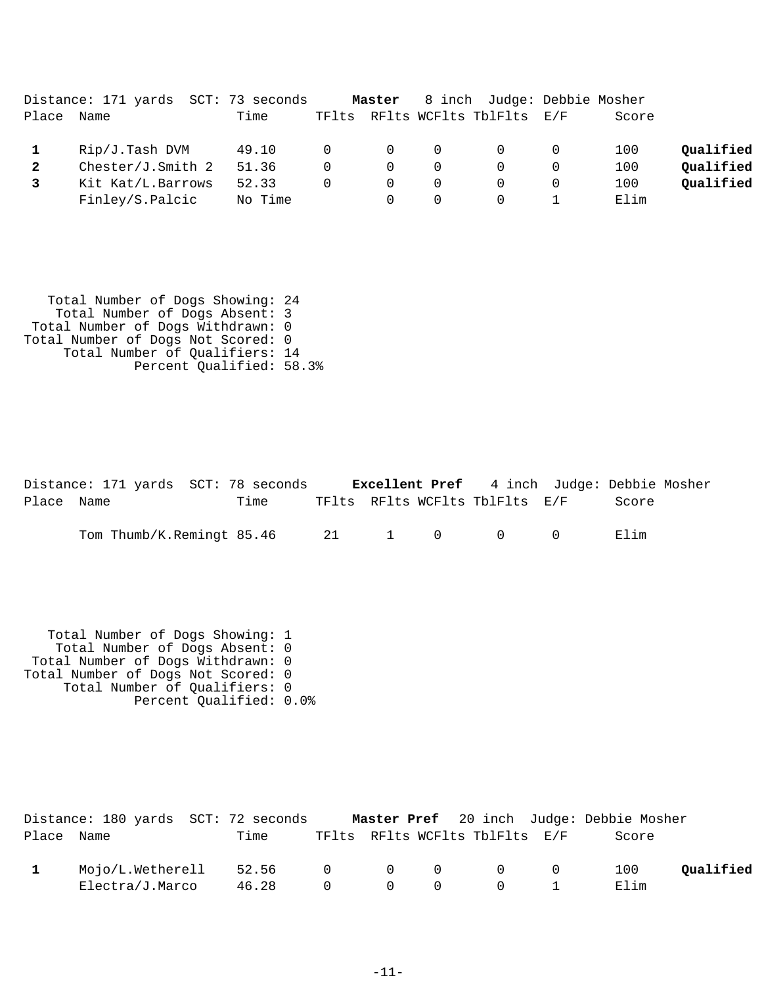|       | Distance: 171 yards SCT: 73 seconds |         |          | Master   |          | 8 inch Judge: Debbie Mosher    |       |           |
|-------|-------------------------------------|---------|----------|----------|----------|--------------------------------|-------|-----------|
| Place | Name                                | Time    |          |          |          | TFlts RFlts WCFlts TblFlts E/F | Score |           |
|       | Rip/J.Tash DVM                      | 49.10   | $\Omega$ | $\Omega$ | $\Omega$ | $\overline{0}$                 | 100   | Qualified |
|       | Chester/J.Smith 2                   | 51.36   | $\Omega$ | $\Omega$ |          |                                | 100   | Oualified |
|       | Kit Kat/L.Barrows                   | 52.33   | $\Omega$ | $\Omega$ | $\Omega$ | $\Omega$                       | 100   | Qualified |
|       | Finley/S.Palcic                     | No Time |          |          |          |                                | Elim  |           |

| Total Number of Dogs Showing: 24   |  |
|------------------------------------|--|
| Total Number of Dogs Absent: 3     |  |
| Total Number of Dogs Withdrawn: 0  |  |
| Total Number of Dogs Not Scored: 0 |  |
| Total Number of Qualifiers: 14     |  |
| Percent Qualified: 58.3%           |  |

|            | Distance: 171 yards SCT: 78 seconds  |      |  |                                |        | <b>Excellent Pref</b> 4 inch Judge: Debbie Mosher |  |
|------------|--------------------------------------|------|--|--------------------------------|--------|---------------------------------------------------|--|
| Place Name |                                      | Time |  | TFlts RFlts WCFlts TblFlts E/F |        | Score                                             |  |
|            | Tom Thumb/K.Remingt $85.46$ 21 1 0 0 |      |  |                                | $\cap$ | Elim                                              |  |

 Total Number of Dogs Showing: 1 Total Number of Dogs Absent: 0 Total Number of Dogs Withdrawn: 0 Total Number of Dogs Not Scored: 0 Total Number of Qualifiers: 0 Percent Qualified: 0.0%

|            | Distance: 180 yards SCT: 72 seconds  |                 |  |                                | <b>Master Pref</b> 20 inch Judge: Debbie Mosher |           |
|------------|--------------------------------------|-----------------|--|--------------------------------|-------------------------------------------------|-----------|
| Place Name |                                      | Time            |  | TFlts RFlts WCFlts TblFlts E/F | Score                                           |           |
|            | $Mojo/L. We therell$ 52.56 0 0 0 0 0 |                 |  |                                | 100                                             | Oualified |
|            | Electra/J.Marco                      | 46.28 0 0 0 0 1 |  |                                | Elim                                            |           |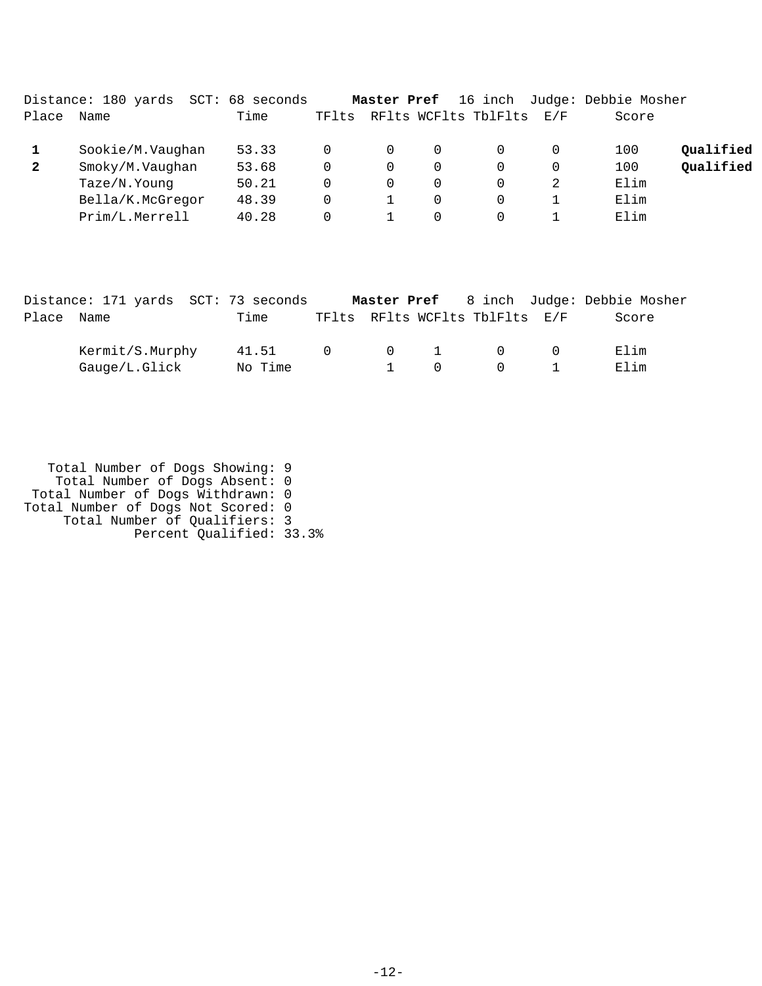|              | Distance: 180 yards<br>SCT: | 68 seconds |       | Master Pref |          | 16 inch              |     | Judge: Debbie Mosher |           |
|--------------|-----------------------------|------------|-------|-------------|----------|----------------------|-----|----------------------|-----------|
| Place        | Name                        | Time       | TFlts |             |          | RFlts WCFlts TblFlts | E/F | Score                |           |
|              | Sookie/M.Vaughan            | 53.33      |       | 0           | $\Omega$ |                      |     | 100                  | Qualified |
| $\mathbf{2}$ | Smoky/M.Vaughan             | 53.68      | 0     | 0           | 0        | 0                    |     | 100                  | Qualified |
|              | Taze/N.Young                | 50.21      | 0     | 0           | $\Omega$ | 0                    |     | Elim                 |           |
|              | Bella/K.McGregor            | 48.39      | 0     |             | $\Omega$ | $\Omega$             |     | Elim                 |           |
|              | Prim/L.Merrell              | 40.28      |       |             | $\Omega$ | $\Omega$             |     | Elim                 |           |

|            | Distance: 171 yards SCT: 73 seconds |         |                       |                                     |                                | <b>Master Pref</b> 8 inch Judge: Debbie Mosher |
|------------|-------------------------------------|---------|-----------------------|-------------------------------------|--------------------------------|------------------------------------------------|
| Place Name |                                     | Time    |                       |                                     | TFlts RFlts WCFlts TblFlts E/F | Score                                          |
|            | Kermit/S.Murphy                     | 41.51   | $\Omega$ and $\Omega$ |                                     | $0 \qquad 1 \qquad 0 \qquad 0$ | Elim                                           |
|            | Gauge/L.Glick                       | No Time |                       | $\begin{matrix} 1 & 0 \end{matrix}$ | $\bigcap$                      | Flim                                           |

 Total Number of Dogs Showing: 9 Total Number of Dogs Absent: 0 Total Number of Dogs Withdrawn: 0 Total Number of Dogs Not Scored: 0 Total Number of Qualifiers: 3 Percent Qualified: 33.3%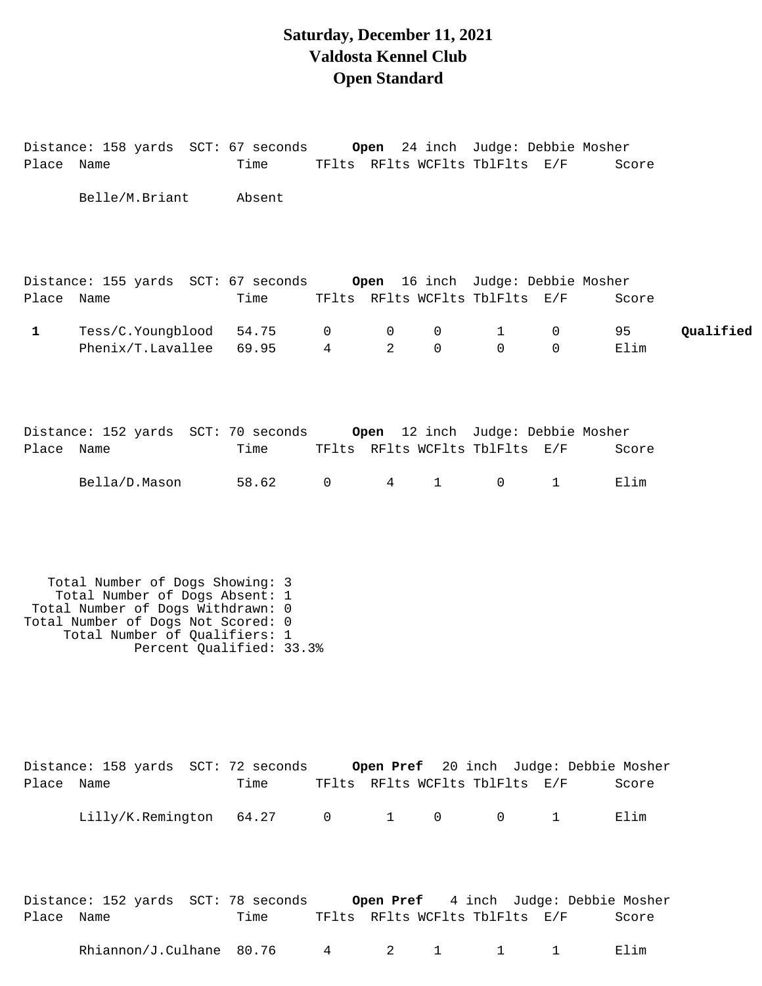### **Saturday, December 11, 2021 Valdosta Kennel Club Open Standard**

Distance: 158 yards SCT: 67 seconds **Open** 24 inch Judge: Debbie Mosher Place Name Time TFlts RFlts WCFlts TblFlts E/F Score

|              | Belle/M.Briant                                                                                                                                                                                            | Absent         |                     |                               |                            |                                |               |            |           |
|--------------|-----------------------------------------------------------------------------------------------------------------------------------------------------------------------------------------------------------|----------------|---------------------|-------------------------------|----------------------------|--------------------------------|---------------|------------|-----------|
| Place Name   | Distance: 155 yards SCT: 67 seconds Open 16 inch Judge: Debbie Mosher                                                                                                                                     | Time           |                     |                               |                            | TFlts RFlts WCFlts TblFlts E/F |               | Score      |           |
| $\mathbf{1}$ | Tess/C.Youngblood<br>Phenix/T.Lavallee                                                                                                                                                                    | 54.75<br>69.95 | 0<br>$\overline{4}$ | $\mathbf 0$<br>$\overline{2}$ | $\mathbf 0$<br>$\mathbf 0$ | $\mathbf{1}$<br>$\mathbf 0$    | 0<br>$\Omega$ | 95<br>Elim | Qualified |
| Place Name   | Distance: 152 yards SCT: 70 seconds Open 12 inch Judge: Debbie Mosher                                                                                                                                     | Time           |                     |                               |                            | TFlts RFlts WCFlts TblFlts E/F |               | Score      |           |
|              | Bella/D.Mason                                                                                                                                                                                             | 58.62          | $\overline{0}$      | $4\degree$                    | $1 \quad \blacksquare$     | $\mathsf{O}$                   | $\mathbf{1}$  | Elim       |           |
|              | Total Number of Dogs Showing: 3<br>Total Number of Dogs Absent: 1<br>Total Number of Dogs Withdrawn: 0<br>Total Number of Dogs Not Scored: 0<br>Total Number of Qualifiers: 1<br>Percent Qualified: 33.3% |                |                     |                               |                            |                                |               |            |           |
| Place Name   | Distance: 158 yards SCT: 72 seconds Open Pref 20 inch Judge: Debbie Mosher                                                                                                                                | Time           |                     |                               |                            | TFlts RFlts WCFlts TblFlts E/F |               | Score      |           |
|              | Lilly/K.Remington 64.27 0                                                                                                                                                                                 |                |                     |                               | $1 \qquad 0$               | $\overline{0}$                 | $\mathbf{1}$  | Elim       |           |
| Place Name   | Distance: 152 yards SCT: 78 seconds Open Pref 4 inch Judge: Debbie Mosher                                                                                                                                 | Time           |                     |                               |                            | TFlts RFlts WCFlts TblFlts E/F |               | Score      |           |
|              | Rhiannon/J.Culhane 80.76                                                                                                                                                                                  |                | $4\overline{ }$     |                               | $2 \t 1$                   | $1 \quad 1$                    |               | Elim       |           |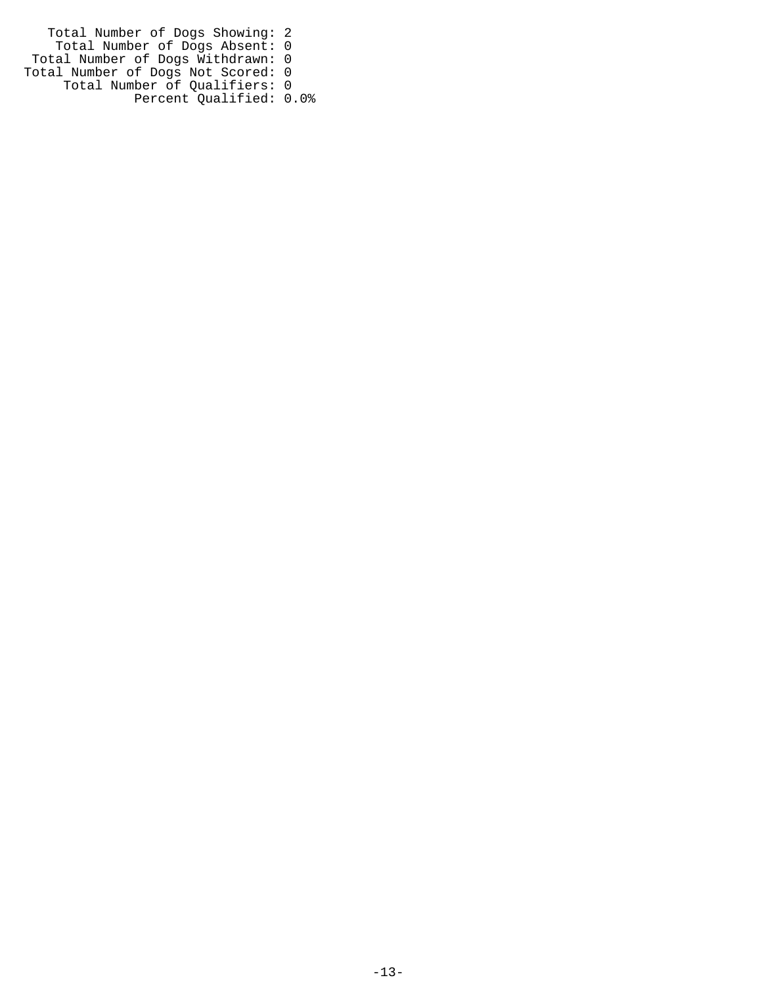Total Number of Dogs Showing: 2 Total Number of Dogs Absent: 0 Total Number of Dogs Withdrawn: 0 Total Number of Dogs Not Scored: 0 Total Number of Qualifiers: 0 Percent Qualified: 0.0%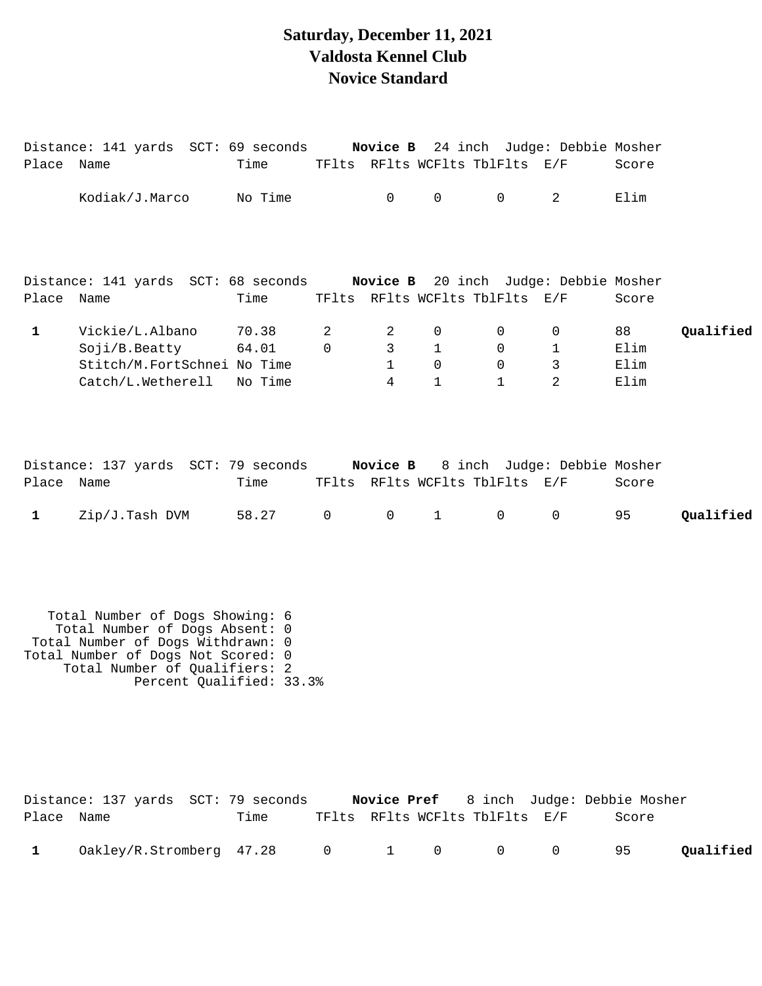# **Saturday, December 11, 2021 Valdosta Kennel Club Novice Standard**

| Place Name   | Distance: 141 yards SCT: 69 seconds Novice B 24 inch Judge: Debbie Mosher                                                                                                                                 | Time                      |                  |                                                       |                                    | TFlts RFlts WCFlts TblFlts E/F        |                                         | Score                      |           |
|--------------|-----------------------------------------------------------------------------------------------------------------------------------------------------------------------------------------------------------|---------------------------|------------------|-------------------------------------------------------|------------------------------------|---------------------------------------|-----------------------------------------|----------------------------|-----------|
|              | Kodiak/J.Marco                                                                                                                                                                                            | No Time                   |                  | 0                                                     | $\mathsf{O}$                       | 0                                     | $\overline{2}$                          | Elim                       |           |
| Place Name   | Distance: 141 yards SCT: 68 seconds Novice B 20 inch Judge: Debbie Mosher                                                                                                                                 | Time                      |                  |                                                       |                                    | TFlts RFlts WCFlts TblFlts E/F        |                                         | Score                      |           |
|              |                                                                                                                                                                                                           |                           |                  |                                                       |                                    |                                       |                                         |                            |           |
| $\mathbf{1}$ | Vickie/L.Albano<br>Soji/B.Beatty<br>Stitch/M.FortSchnei No Time<br>Catch/L.Wetherell                                                                                                                      | 70.38<br>64.01<br>No Time | 2<br>$\mathbf 0$ | 2<br>$\overline{3}$<br>$\mathbf{1}$<br>$\overline{4}$ | 0<br>1<br>$\Omega$<br>$\mathbf{1}$ | 0<br>0<br>$\mathbf 0$<br>$\mathbf{1}$ | 0<br>$\mathbf 1$<br>3<br>2              | 88<br>Elim<br>Elim<br>Elim | Qualified |
| Place Name   | Distance: 137 yards SCT: 79 seconds Novice B 8 inch Judge: Debbie Mosher                                                                                                                                  | Time                      |                  |                                                       |                                    | TFlts RFlts WCFlts TblFlts E/F        |                                         | Score                      |           |
| $\mathbf{1}$ | Zip/J.Tash DVM                                                                                                                                                                                            | 58.27                     | $\overline{0}$   | $0 \qquad \qquad$                                     | $1 \quad \Box$                     | 0                                     | 0                                       | 95                         | Qualified |
|              | Total Number of Dogs Showing: 6<br>Total Number of Dogs Absent: 0<br>Total Number of Dogs Withdrawn: 0<br>Total Number of Dogs Not Scored: 0<br>Total Number of Qualifiers: 2<br>Percent Qualified: 33.3% |                           |                  |                                                       |                                    |                                       |                                         |                            |           |
|              | Distance: 137 yards SCT: 79 seconds                                                                                                                                                                       |                           |                  |                                                       |                                    |                                       | Novice Pref 8 inch Judge: Debbie Mosher |                            |           |

| Place Name |                                         | Time |  | TFlts RFlts WCFlts TblFlts E/F | Score |           |
|------------|-----------------------------------------|------|--|--------------------------------|-------|-----------|
|            | $0$ akley/R.Stromberg 47.28 $0$ 1 0 0 0 |      |  |                                | 95    | Qualified |